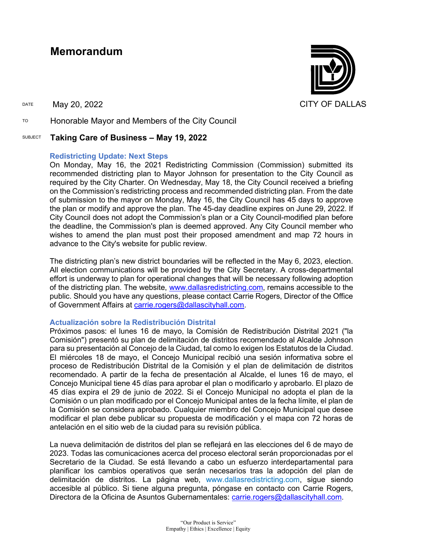## **Memorandum**

DATE May 20, 2022 CITY OF DALLAS

TO Honorable Mayor and Members of the City Council

### SUBJECT **Taking Care of Business – May 19, 2022**

#### **Redistricting Update: Next Steps**

On Monday, May 16, the 2021 Redistricting Commission (Commission) submitted its recommended districting plan to Mayor Johnson for presentation to the City Council as required by the City Charter. On Wednesday, May 18, the City Council received a briefing on the Commission's redistricting process and recommended districting plan. From the date of submission to the mayor on Monday, May 16, the City Council has 45 days to approve the plan or modify and approve the plan. The 45-day deadline expires on June 29, 2022. If City Council does not adopt the Commission's plan or a City Council-modified plan before the deadline, the Commission's plan is deemed approved. Any City Council member who wishes to amend the plan must post their proposed amendment and map 72 hours in advance to the City's website for public review.

The districting plan's new district boundaries will be reflected in the May 6, 2023, election. All election communications will be provided by the City Secretary. A cross-departmental effort is underway to plan for operational changes that will be necessary following adoption of the districting plan. The website, [www.dallasredistricting.com,](https://gcc02.safelinks.protection.outlook.com/?url=http%3A%2F%2Fwww.dallasredistricting.com%2F&data=05%7C01%7Cbrandon.castillo%40dallascityhall.com%7C42a797b2d1ee4346dcb908da3760261a%7C2935709ec10c4809a302852d369f8700%7C0%7C0%7C637883183339686182%7CUnknown%7CTWFpbGZsb3d8eyJWIjoiMC4wLjAwMDAiLCJQIjoiV2luMzIiLCJBTiI6Ik1haWwiLCJXVCI6Mn0%3D%7C3000%7C%7C%7C&sdata=Xbp87h1hxnvkJ4irGNT7irfw8rbFaalQs3NYgUCJWn0%3D&reserved=0) remains accessible to the public. Should you have any questions, please contact Carrie Rogers, Director of the Office of Government Affairs at [carrie.rogers@dallascityhall.com.](mailto:carrie.rogers@dallascityhall.com)

#### **Actualización sobre la Redistribución Distrital**

Próximos pasos: el lunes 16 de mayo, la Comisión de Redistribución Distrital 2021 ("la Comisión") presentó su plan de delimitación de distritos recomendado al Alcalde Johnson para su presentación al Concejo de la Ciudad, tal como lo exigen los Estatutos de la Ciudad. El miércoles 18 de mayo, el Concejo Municipal recibió una sesión informativa sobre el proceso de Redistribución Distrital de la Comisión y el plan de delimitación de distritos recomendado. A partir de la fecha de presentación al Alcalde, el lunes 16 de mayo, el Concejo Municipal tiene 45 días para aprobar el plan o modificarlo y aprobarlo. El plazo de 45 días expira el 29 de junio de 2022. Si el Concejo Municipal no adopta el plan de la Comisión o un plan modificado por el Concejo Municipal antes de la fecha límite, el plan de la Comisión se considera aprobado. Cualquier miembro del Concejo Municipal que desee modificar el plan debe publicar su propuesta de modificación y el mapa con 72 horas de antelación en el sitio web de la ciudad para su revisión pública.

La nueva delimitación de distritos del plan se reflejará en las elecciones del 6 de mayo de 2023. Todas las comunicaciones acerca del proceso electoral serán proporcionadas por el Secretario de la Ciudad. Se está llevando a cabo un esfuerzo interdepartamental para planificar los cambios operativos que serán necesarios tras la adopción del plan de delimitación de distritos. La página web, [www.dallasredistricting.com,](http://www.dallasredistricting.com/) sigue siendo accesible al público. Si tiene alguna pregunta, póngase en contacto con Carrie Rogers, Directora de la Oficina de Asuntos Gubernamentales: [carrie.rogers@dallascityhall.com.](mailto:carrie.rogers@dallascityhall.com)

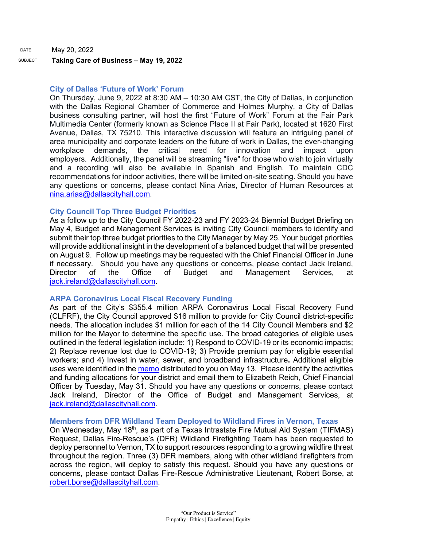## SUBJECT **Taking Care of Business – May 19, 2022**

### **City of Dallas 'Future of Work' Forum**

On Thursday, June 9, 2022 at 8:30 AM – 10:30 AM CST, the City of Dallas, in conjunction with the Dallas Regional Chamber of Commerce and Holmes Murphy, a City of Dallas business consulting partner, will host the first "Future of Work" Forum at the Fair Park Multimedia Center (formerly known as Science Place II at Fair Park), located at 1620 First Avenue, Dallas, TX 75210. This interactive discussion will feature an intriguing panel of area municipality and corporate leaders on the future of work in Dallas, the ever-changing workplace demands, the critical need for innovation and impact upon employers. Additionally, the panel will be streaming "live" for those who wish to join virtually and a recording will also be available in Spanish and English. To maintain CDC recommendations for indoor activities, there will be limited on-site seating. Should you have any questions or concerns, please contact Nina Arias, Director of Human Resources at [nina.arias@dallascityhall.com.](mailto:nina.arias@dallascityhall.com)

## **City Council Top Three Budget Priorities**

As a follow up to the City Council FY 2022-23 and FY 2023-24 Biennial Budget Briefing on May 4, Budget and Management Services is inviting City Council members to identify and submit their top three budget priorities to the City Manager by May 25. Your budget priorities will provide additional insight in the development of a balanced budget that will be presented on August 9. Follow up meetings may be requested with the Chief Financial Officer in June if necessary. Should you have any questions or concerns, please contact Jack Ireland,<br>Director of the Office of Budget and Management Services, at Director of the Office of Budget and Management Services, at [jack.ireland@dallascityhall.com.](mailto:jack.ireland@dallascityhall.com)

## **ARPA Coronavirus Local Fiscal Recovery Funding**

As part of the City's \$355.4 million ARPA Coronavirus Local Fiscal Recovery Fund (CLFRF), the City Council approved \$16 million to provide for City Council district-specific needs. The allocation includes \$1 million for each of the 14 City Council Members and \$2 million for the Mayor to determine the specific use. The broad categories of eligible uses outlined in the federal legislation include: 1) Respond to COVID-19 or its economic impacts; 2) Replace revenue lost due to COVID-19; 3) Provide premium pay for eligible essential workers; and 4) Invest in water, sewer, and broadband infrastructure**.** Additional eligible uses were identified in the [memo](https://gcc02.safelinks.protection.outlook.com/?url=https%3A%2F%2Fdallascityhall.com%2Fgovernment%2Fcitymanager%2FDocuments%2FFY%252021-22%2520Memos%2FARPA-Coronavirus-Local-Fiscal-Recovery-Funding-for-City-Council-Districts_memo_051322.pdf&data=05%7C01%7Cbrandon.castillo%40dallascityhall.com%7C652c7b70548e4046631d08da3828dcd0%7C2935709ec10c4809a302852d369f8700%7C0%7C0%7C637884045389305449%7CUnknown%7CTWFpbGZsb3d8eyJWIjoiMC4wLjAwMDAiLCJQIjoiV2luMzIiLCJBTiI6Ik1haWwiLCJXVCI6Mn0%3D%7C3000%7C%7C%7C&sdata=6B3d8Fa8kP3fj5H4veYFK6tXH7Nl83cDSzKxrIaXwyo%3D&reserved=0) distributed to you on May 13. Please identify the activities and funding allocations for your district and email them to Elizabeth Reich, Chief Financial Officer by Tuesday, May 31. Should you have any questions or concerns, please contact Jack Ireland, Director of the Office of Budget and Management Services, at [jack.ireland@dallascityhall.com.](mailto:jack.ireland@dallascityhall.com)

## **Members from DFR Wildland Team Deployed to Wildland Fires in Vernon, Texas**

On Wednesday, May 18<sup>th</sup>, as part of a Texas Intrastate Fire Mutual Aid System (TIFMAS) Request, Dallas Fire-Rescue's (DFR) Wildland Firefighting Team has been requested to deploy personnel to Vernon, TX to support resources responding to a growing wildfire threat throughout the region. Three (3) DFR members, along with other wildland firefighters from across the region, will deploy to satisfy this request. Should you have any questions or concerns, please contact Dallas Fire-Rescue Administrative Lieutenant, Robert Borse, at [robert.borse@dallascityhall.com.](mailto:robert.borse@dallascityhall.com)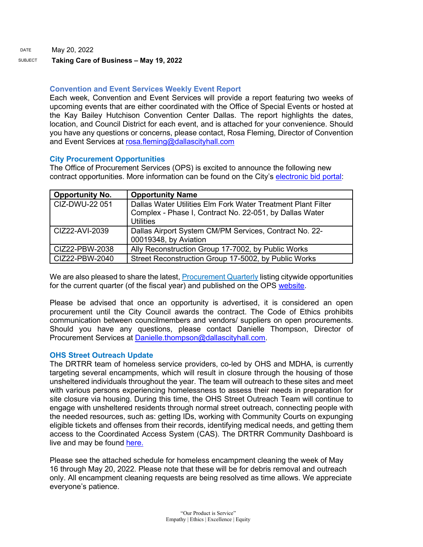#### SUBJECT **Taking Care of Business – May 19, 2022**

#### **Convention and Event Services Weekly Event Report**

Each week, Convention and Event Services will provide a report featuring two weeks of upcoming events that are either coordinated with the Office of Special Events or hosted at the Kay Bailey Hutchison Convention Center Dallas. The report highlights the dates, location, and Council District for each event, and is attached for your convenience. Should you have any questions or concerns, please contact, Rosa Fleming, Director of Convention and Event Services at [rosa.fleming@dallascityhall.com](mailto:rosa.fleming@dallascityhall.com)

#### **City Procurement Opportunities**

The Office of Procurement Services (OPS) is excited to announce the following new contract opportunities. More information can be found on the City's [electronic bid portal:](https://gcc02.safelinks.protection.outlook.com/?url=https%3A%2F%2Fdallascityhall.bonfirehub.com%2Fportal%2F%3Ftab%3DopenOpportunities&data=05%7C01%7Cbrandon.castillo%40dallascityhall.com%7C0f2d87070b994656c03208da381943a2%7C2935709ec10c4809a302852d369f8700%7C0%7C0%7C637883978409268240%7CUnknown%7CTWFpbGZsb3d8eyJWIjoiMC4wLjAwMDAiLCJQIjoiV2luMzIiLCJBTiI6Ik1haWwiLCJXVCI6Mn0%3D%7C3000%7C%7C%7C&sdata=rjbxYrPU3wdfbg5SC0Uc3buQ8Wxj0oad3TnL04iQBvc%3D&reserved=0)

| <b>Opportunity No.</b> | <b>Opportunity Name</b>                                                                                                                     |
|------------------------|---------------------------------------------------------------------------------------------------------------------------------------------|
| CIZ-DWU-22 051         | Dallas Water Utilities Elm Fork Water Treatment Plant Filter<br>Complex - Phase I, Contract No. 22-051, by Dallas Water<br><b>Utilities</b> |
| CIZ22-AVI-2039         | Dallas Airport System CM/PM Services, Contract No. 22-<br>00019348, by Aviation                                                             |
| CIZ22-PBW-2038         | Ally Reconstruction Group 17-7002, by Public Works                                                                                          |
| CIZ22-PBW-2040         | Street Reconstruction Group 17-5002, by Public Works                                                                                        |

We are also pleased to share the latest[, Procurement Quarterly](https://gcc02.safelinks.protection.outlook.com/?url=https%3A%2F%2Fdallascityhall.com%2Fdepartments%2Fprocurement%2FDocuments%2FOPS%2520FY22%2520Q3%2520Procurement%2520Quarterly.pdf&data=05%7C01%7Cbrandon.castillo%40dallascityhall.com%7C0f2d87070b994656c03208da381943a2%7C2935709ec10c4809a302852d369f8700%7C0%7C0%7C637883978409268240%7CUnknown%7CTWFpbGZsb3d8eyJWIjoiMC4wLjAwMDAiLCJQIjoiV2luMzIiLCJBTiI6Ik1haWwiLCJXVCI6Mn0%3D%7C3000%7C%7C%7C&sdata=MiMyIdLCdsAmf1NdEaoNL%2BtJJoWgt6NCR0AIeavppTY%3D&reserved=0) listing citywide opportunities for the current quarter (of the fiscal year) and published on the OPS [website.](https://gcc02.safelinks.protection.outlook.com/?url=https%3A%2F%2Fdallascityhall.com%2Fdepartments%2Fprocurement%2FPages%2Fdefault.aspx&data=05%7C01%7Cbrandon.castillo%40dallascityhall.com%7C0f2d87070b994656c03208da381943a2%7C2935709ec10c4809a302852d369f8700%7C0%7C0%7C637883978409268240%7CUnknown%7CTWFpbGZsb3d8eyJWIjoiMC4wLjAwMDAiLCJQIjoiV2luMzIiLCJBTiI6Ik1haWwiLCJXVCI6Mn0%3D%7C3000%7C%7C%7C&sdata=IlS1uWhlmsHo3t456PGVeh0e4AK84eTtdl47T3OTfRA%3D&reserved=0)

Please be advised that once an opportunity is advertised, it is considered an open procurement until the City Council awards the contract. The Code of Ethics prohibits communication between councilmembers and vendors/ suppliers on open procurements. Should you have any questions, please contact Danielle Thompson, Director of Procurement Services at [Danielle.thompson@dallascityhall.com.](mailto:Danielle.thompson@dallascityhall.com)

#### **OHS Street Outreach Update**

The DRTRR team of homeless service providers, co-led by OHS and MDHA, is currently targeting several encampments, which will result in closure through the housing of those unsheltered individuals throughout the year. The team will outreach to these sites and meet with various persons experiencing homelessness to assess their needs in preparation for site closure via housing. During this time, the OHS Street Outreach Team will continue to engage with unsheltered residents through normal street outreach, connecting people with the needed resources, such as: getting IDs, working with Community Courts on expunging eligible tickets and offenses from their records, identifying medical needs, and getting them access to the Coordinated Access System (CAS). The DRTRR Community Dashboard is live and may be found [here.](https://www.mdhadallas.org/community-dashboard-2/)

Please see the attached schedule for homeless encampment cleaning the week of May 16 through May 20, 2022. Please note that these will be for debris removal and outreach only. All encampment cleaning requests are being resolved as time allows. We appreciate everyone's patience.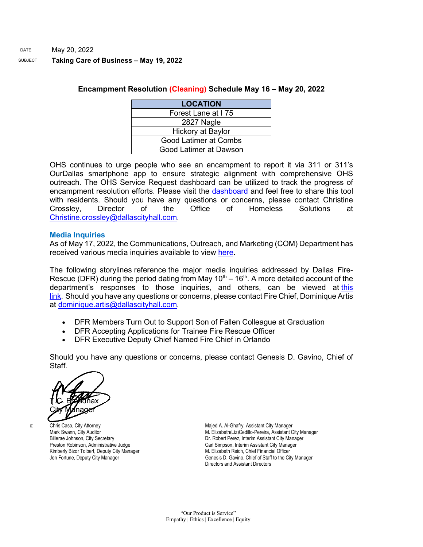| <b>LOCATION</b>              |
|------------------------------|
| Forest Lane at I 75          |
| 2827 Nagle                   |
| Hickory at Baylor            |
| <b>Good Latimer at Combs</b> |
| Good Latimer at Dawson       |

#### **Encampment Resolution (Cleaning) Schedule May 16 – May 20, 2022**

OHS continues to urge people who see an encampment to report it via 311 or 311's OurDallas smartphone app to ensure strategic alignment with comprehensive OHS outreach. The OHS Service Request dashboard can be utilized to track the progress of encampment resolution efforts. Please visit the [dashboard](https://gcc02.safelinks.protection.outlook.com/?url=https%3A%2F%2Fdallasgis.maps.arcgis.com%2Fapps%2Fopsdashboard%2Findex.html%23%2Fccd41f0d795f407a94ae17e2c27bf073&data=04%7C01%7CAmanda.Voigt%40dallascityhall.com%7C45f12cc3352040105b8308d9fbcb6d7a%7C2935709ec10c4809a302852d369f8700%7C0%7C0%7C637817673400555821%7CUnknown%7CTWFpbGZsb3d8eyJWIjoiMC4wLjAwMDAiLCJQIjoiV2luMzIiLCJBTiI6Ik1haWwiLCJXVCI6Mn0%3D%7C3000&sdata=zBK9TJ%2FxRq23uCczgqh0DBvzdKPq6ITbYwpLxvg3nLI%3D&reserved=0) and feel free to share this tool with residents. Should you have any questions or concerns, please contact Christine Crossley, Director of the Office of Homeless Solutions at [Christine.crossley@dallascityhall.com.](mailto:Christine.crossley@dallascityhall.com)

#### **Media Inquiries**

As of May 17, 2022, the Communications, Outreach, and Marketing (COM) Department has received various media inquiries available to view [here.](https://gcc02.safelinks.protection.outlook.com/ap/w-59584e83/?url=https%3A%2F%2Fdallastxgov.sharepoint.com%2F%3Aw%3A%2Fs%2FPIOTeam%2FEYImOdaHgQlCicIk2m_UbikBRM4I-u2YEjcwGa1RliodxQ%3Fe%3DWpPhHF&data=05%7C01%7Cbrandon.castillo%40dallascityhall.com%7Ceb6cdd39cd6441541d0408da38415e4f%7C2935709ec10c4809a302852d369f8700%7C0%7C0%7C637884150645044428%7CUnknown%7CTWFpbGZsb3d8eyJWIjoiMC4wLjAwMDAiLCJQIjoiV2luMzIiLCJBTiI6Ik1haWwiLCJXVCI6Mn0%3D%7C3000%7C%7C%7C&sdata=3ebmQbS53hHGNaEWvxdepTd4BC4mFVoPpHyb25mxWc8%3D&reserved=0)

The following storylines reference the major media inquiries addressed by Dallas Fire-Rescue (DFR) during the period dating from May  $10<sup>th</sup> - 16<sup>th</sup>$ . A more detailed account of the department's responses to those inquiries, and others, can be viewed at this [link.](https://gcc02.safelinks.protection.outlook.com/ap/w-59584e83/?url=https%3A%2F%2Fdallastxgov-my.sharepoint.com%2F%3Aw%3A%2Fg%2Fpersonal%2Fjason_evans_dallascityhall_com%2FEX3x3Fgb08tOjQS_bFzN8uYB6z_nbk4z26kHPTE7SxY1FQ%3Fe%3D9ctjKe&data=05%7C01%7Cbrandon.castillo%40dallascityhall.com%7C2c4880683a1a451b786d08da380bf977%7C2935709ec10c4809a302852d369f8700%7C0%7C0%7C637883921329701240%7CUnknown%7CTWFpbGZsb3d8eyJWIjoiMC4wLjAwMDAiLCJQIjoiV2luMzIiLCJBTiI6Ik1haWwiLCJXVCI6Mn0%3D%7C3000%7C%7C%7C&sdata=X0giB4VviUf93Rc1cLOoslpPC1JpQCVPrPIDNU98L%2FU%3D&reserved=0) Should you have any questions or concerns, please contact Fire Chief, Dominique Artis at [dominique.artis@dallascityhall.com.](mailto:dominique.artis@dallascityhall.com)

- DFR Members Turn Out to Support Son of Fallen Colleague at Graduation
- DFR Accepting Applications for Trainee Fire Rescue Officer
- DFR Executive Deputy Chief Named Fire Chief in Orlando

Should you have any questions or concerns, please contact Genesis D. Gavino, Chief of Staff.

**T.C. Broadnax** City Manager

c: Chris Caso, City Attorney Mark Swann, City Auditor Bilierae Johnson, City Secretary Preston Robinson, Administrative Judge Kimberly Bizor Tolbert, Deputy City Manager Jon Fortune, Deputy City Manager

Majed A. Al-Ghafry, Assistant City Manager M. Elizabeth(Liz)Cedillo-Pereira, Assistant City Manager Dr. Robert Perez, Interim Assistant City Manager Carl Simpson, Interim Assistant City Manager M. Elizabeth Reich, Chief Financial Officer Genesis D. Gavino, Chief of Staff to the City Manager Directors and Assistant Directors